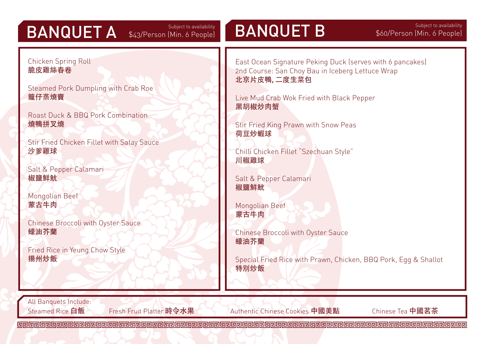## BANQUET A \$43/Person (Min. 6 People)

BANQUET B Subject to availability \$60/Person (Min. 6 People)

Chicken Spring Roll 脆皮雞絲春卷

Steamed Pork Dumpling with Crab Roe 籠仔蒸燒賣

Roast Duck & BBQ Pork Combination 燒鴨拼叉燒

Stir Fried Chicken Fillet with Satay Sauce 沙爹雞球

Salt & Pepper Calamari 椒鹽鮮魷

Mongolian Beef 蒙古牛肉

Chinese Broccoli with Oyster Sauce 蠔油芥蘭

Fried Rice in Yeung Chow Style 揚州炒飯

East Ocean Signature Peking Duck (serves with 6 pancakes) 2nd Course: San Choy Bau in Iceberg Lettuce Wrap 北京片皮鴨, 二度生菜包

Live Mud Crab Wok Fried with Black Pepper 黑胡椒炒肉蟹

Stir Fried King Prawn with Snow Peas 荷豆炒蝦球

Chilli Chicken Fillet "Szechuan Style" 川椒雞球

Salt & Pepper Calamari 椒鹽鮮魷

Mongolian Beef 蒙古牛肉

Chinese Broccoli with Oyster Sauce 蠔油芥蘭

Special Fried Rice with Prawn, Chicken, BBQ Pork, Egg & Shallot 特別炒飯

All Banquets Include:

Steamed Rice 白飯 Fresh Fruit Platter 時今水果 Authentic Chinese Cookies 中國美點 Chinese Tea 中國茗茶